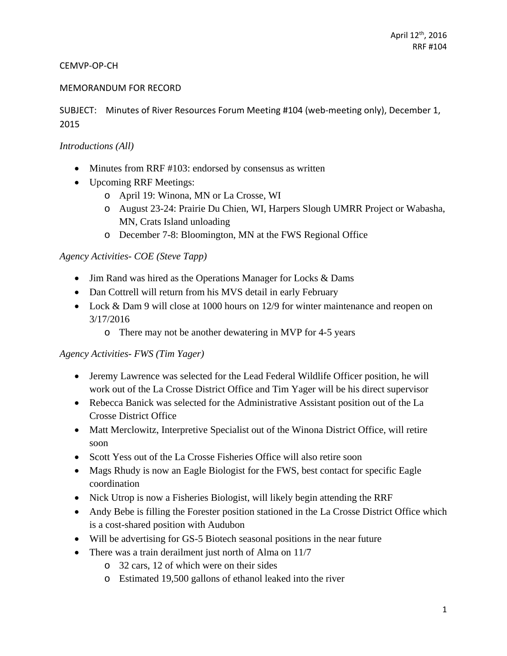#### CEMVP‐OP‐CH

#### MEMORANDUM FOR RECORD

SUBJECT: Minutes of River Resources Forum Meeting #104 (web-meeting only), December 1, 2015

#### *Introductions (All)*

- Minutes from RRF #103: endorsed by consensus as written
- Upcoming RRF Meetings:
	- o April 19: Winona, MN or La Crosse, WI
	- o August 23-24: Prairie Du Chien, WI, Harpers Slough UMRR Project or Wabasha, MN, Crats Island unloading
	- o December 7-8: Bloomington, MN at the FWS Regional Office

### *Agency Activities- COE (Steve Tapp)*

- Jim Rand was hired as the Operations Manager for Locks & Dams
- Dan Cottrell will return from his MVS detail in early February
- Lock & Dam 9 will close at 1000 hours on 12/9 for winter maintenance and reopen on 3/17/2016
	- o There may not be another dewatering in MVP for 4-5 years

#### *Agency Activities- FWS (Tim Yager)*

- Jeremy Lawrence was selected for the Lead Federal Wildlife Officer position, he will work out of the La Crosse District Office and Tim Yager will be his direct supervisor
- Rebecca Banick was selected for the Administrative Assistant position out of the La Crosse District Office
- Matt Merclowitz, Interpretive Specialist out of the Winona District Office, will retire soon
- Scott Yess out of the La Crosse Fisheries Office will also retire soon
- Mags Rhudy is now an Eagle Biologist for the FWS, best contact for specific Eagle coordination
- Nick Utrop is now a Fisheries Biologist, will likely begin attending the RRF
- Andy Bebe is filling the Forester position stationed in the La Crosse District Office which is a cost-shared position with Audubon
- Will be advertising for GS-5 Biotech seasonal positions in the near future
- There was a train derailment just north of Alma on 11/7
	- o 32 cars, 12 of which were on their sides
	- o Estimated 19,500 gallons of ethanol leaked into the river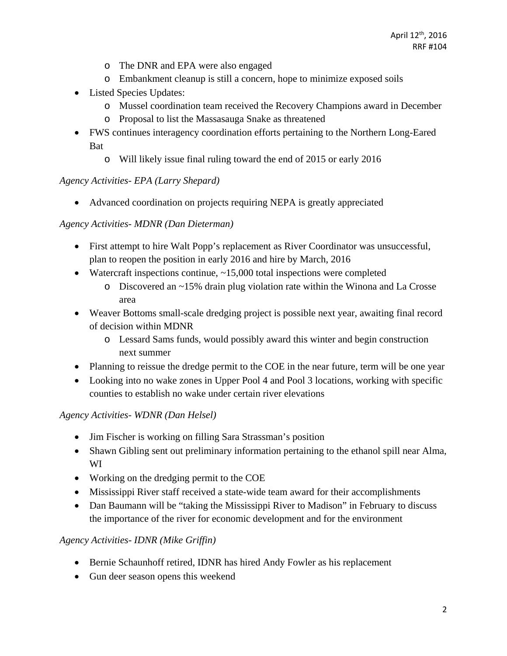- o The DNR and EPA were also engaged
- o Embankment cleanup is still a concern, hope to minimize exposed soils
- Listed Species Updates:
	- o Mussel coordination team received the Recovery Champions award in December
	- o Proposal to list the Massasauga Snake as threatened
- FWS continues interagency coordination efforts pertaining to the Northern Long-Eared Bat
	- o Will likely issue final ruling toward the end of 2015 or early 2016

### *Agency Activities- EPA (Larry Shepard)*

Advanced coordination on projects requiring NEPA is greatly appreciated

### *Agency Activities- MDNR (Dan Dieterman)*

- First attempt to hire Walt Popp's replacement as River Coordinator was unsuccessful, plan to reopen the position in early 2016 and hire by March, 2016
- Watercraft inspections continue,  $\sim$  15,000 total inspections were completed
	- o Discovered an ~15% drain plug violation rate within the Winona and La Crosse area
- Weaver Bottoms small-scale dredging project is possible next year, awaiting final record of decision within MDNR
	- o Lessard Sams funds, would possibly award this winter and begin construction next summer
- Planning to reissue the dredge permit to the COE in the near future, term will be one year
- Looking into no wake zones in Upper Pool 4 and Pool 3 locations, working with specific counties to establish no wake under certain river elevations

### *Agency Activities- WDNR (Dan Helsel)*

- Jim Fischer is working on filling Sara Strassman's position
- Shawn Gibling sent out preliminary information pertaining to the ethanol spill near Alma, WI
- Working on the dredging permit to the COE
- Mississippi River staff received a state-wide team award for their accomplishments
- Dan Baumann will be "taking the Mississippi River to Madison" in February to discuss the importance of the river for economic development and for the environment

### *Agency Activities- IDNR (Mike Griffin)*

- Bernie Schaunhoff retired, IDNR has hired Andy Fowler as his replacement
- Gun deer season opens this weekend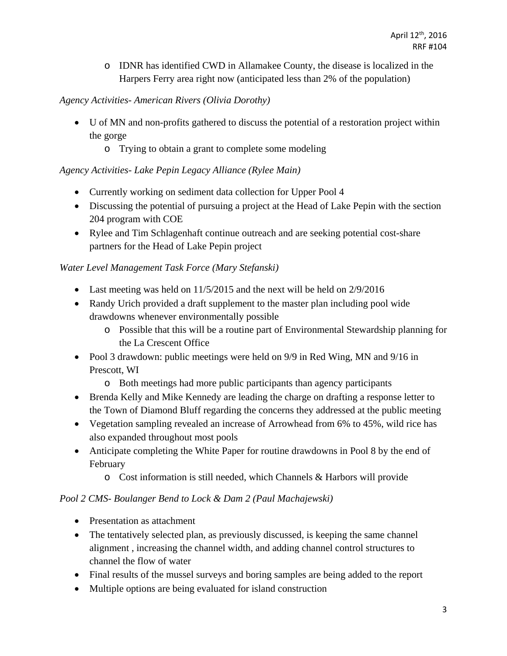o IDNR has identified CWD in Allamakee County, the disease is localized in the Harpers Ferry area right now (anticipated less than 2% of the population)

# *Agency Activities- American Rivers (Olivia Dorothy)*

- U of MN and non-profits gathered to discuss the potential of a restoration project within the gorge
	- o Trying to obtain a grant to complete some modeling

# *Agency Activities- Lake Pepin Legacy Alliance (Rylee Main)*

- Currently working on sediment data collection for Upper Pool 4
- Discussing the potential of pursuing a project at the Head of Lake Pepin with the section 204 program with COE
- Rylee and Tim Schlagenhaft continue outreach and are seeking potential cost-share partners for the Head of Lake Pepin project

### *Water Level Management Task Force (Mary Stefanski)*

- Last meeting was held on 11/5/2015 and the next will be held on 2/9/2016
- Randy Urich provided a draft supplement to the master plan including pool wide drawdowns whenever environmentally possible
	- o Possible that this will be a routine part of Environmental Stewardship planning for the La Crescent Office
- Pool 3 drawdown: public meetings were held on 9/9 in Red Wing, MN and 9/16 in Prescott, WI
	- o Both meetings had more public participants than agency participants
- Brenda Kelly and Mike Kennedy are leading the charge on drafting a response letter to the Town of Diamond Bluff regarding the concerns they addressed at the public meeting
- Vegetation sampling revealed an increase of Arrowhead from 6% to 45%, wild rice has also expanded throughout most pools
- Anticipate completing the White Paper for routine drawdowns in Pool 8 by the end of February
	- o Cost information is still needed, which Channels & Harbors will provide

### *Pool 2 CMS- Boulanger Bend to Lock & Dam 2 (Paul Machajewski)*

- Presentation as attachment
- The tentatively selected plan, as previously discussed, is keeping the same channel alignment , increasing the channel width, and adding channel control structures to channel the flow of water
- Final results of the mussel surveys and boring samples are being added to the report
- Multiple options are being evaluated for island construction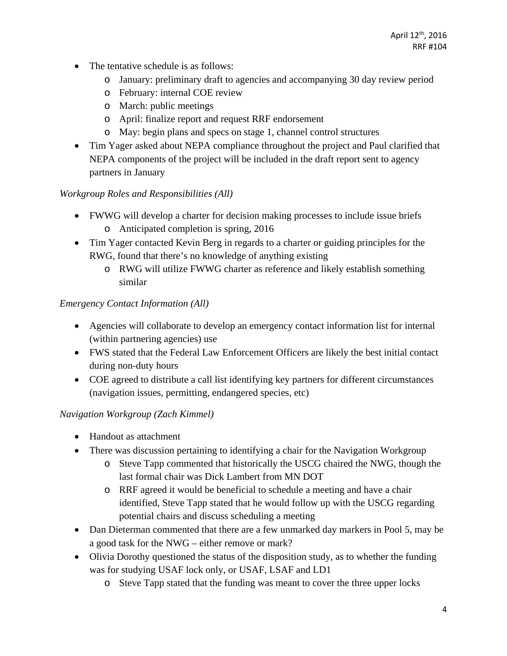- The tentative schedule is as follows:
	- o January: preliminary draft to agencies and accompanying 30 day review period
	- o February: internal COE review
	- o March: public meetings
	- o April: finalize report and request RRF endorsement
	- o May: begin plans and specs on stage 1, channel control structures
- Tim Yager asked about NEPA compliance throughout the project and Paul clarified that NEPA components of the project will be included in the draft report sent to agency partners in January

# *Workgroup Roles and Responsibilities (All)*

- FWWG will develop a charter for decision making processes to include issue briefs o Anticipated completion is spring, 2016
- Tim Yager contacted Kevin Berg in regards to a charter or guiding principles for the RWG, found that there's no knowledge of anything existing
	- o RWG will utilize FWWG charter as reference and likely establish something similar

# *Emergency Contact Information (All)*

- Agencies will collaborate to develop an emergency contact information list for internal (within partnering agencies) use
- FWS stated that the Federal Law Enforcement Officers are likely the best initial contact during non-duty hours
- COE agreed to distribute a call list identifying key partners for different circumstances (navigation issues, permitting, endangered species, etc)

# *Navigation Workgroup (Zach Kimmel)*

- Handout as attachment
- There was discussion pertaining to identifying a chair for the Navigation Workgroup
	- o Steve Tapp commented that historically the USCG chaired the NWG, though the last formal chair was Dick Lambert from MN DOT
	- o RRF agreed it would be beneficial to schedule a meeting and have a chair identified, Steve Tapp stated that he would follow up with the USCG regarding potential chairs and discuss scheduling a meeting
- Dan Dieterman commented that there are a few unmarked day markers in Pool 5, may be a good task for the NWG – either remove or mark?
- Olivia Dorothy questioned the status of the disposition study, as to whether the funding was for studying USAF lock only, or USAF, LSAF and LD1
	- o Steve Tapp stated that the funding was meant to cover the three upper locks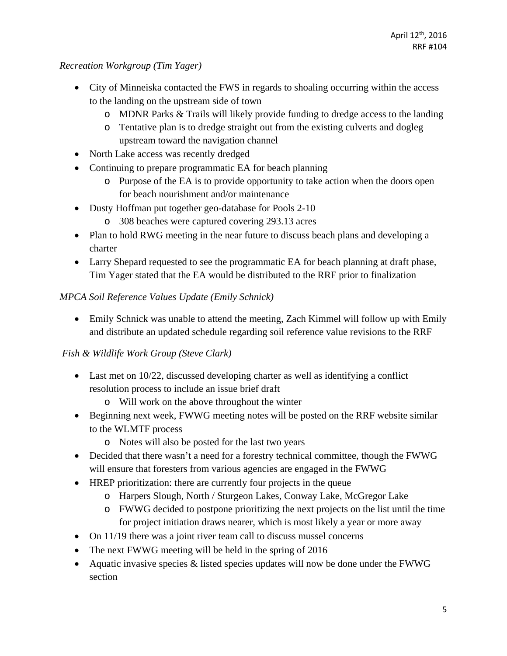### *Recreation Workgroup (Tim Yager)*

- City of Minneiska contacted the FWS in regards to shoaling occurring within the access to the landing on the upstream side of town
	- o MDNR Parks & Trails will likely provide funding to dredge access to the landing
	- o Tentative plan is to dredge straight out from the existing culverts and dogleg upstream toward the navigation channel
- North Lake access was recently dredged
- Continuing to prepare programmatic EA for beach planning
	- o Purpose of the EA is to provide opportunity to take action when the doors open for beach nourishment and/or maintenance
- Dusty Hoffman put together geo-database for Pools 2-10
	- o 308 beaches were captured covering 293.13 acres
- Plan to hold RWG meeting in the near future to discuss beach plans and developing a charter
- Larry Shepard requested to see the programmatic EA for beach planning at draft phase, Tim Yager stated that the EA would be distributed to the RRF prior to finalization

### *MPCA Soil Reference Values Update (Emily Schnick)*

 Emily Schnick was unable to attend the meeting, Zach Kimmel will follow up with Emily and distribute an updated schedule regarding soil reference value revisions to the RRF

# *Fish & Wildlife Work Group (Steve Clark)*

- Last met on 10/22, discussed developing charter as well as identifying a conflict resolution process to include an issue brief draft
	- o Will work on the above throughout the winter
- Beginning next week, FWWG meeting notes will be posted on the RRF website similar to the WLMTF process
	- o Notes will also be posted for the last two years
- Decided that there wasn't a need for a forestry technical committee, though the FWWG will ensure that foresters from various agencies are engaged in the FWWG
- HREP prioritization: there are currently four projects in the queue
	- o Harpers Slough, North / Sturgeon Lakes, Conway Lake, McGregor Lake
	- o FWWG decided to postpone prioritizing the next projects on the list until the time for project initiation draws nearer, which is most likely a year or more away
- On 11/19 there was a joint river team call to discuss mussel concerns
- The next FWWG meeting will be held in the spring of 2016
- Aquatic invasive species  $&$  listed species updates will now be done under the FWWG section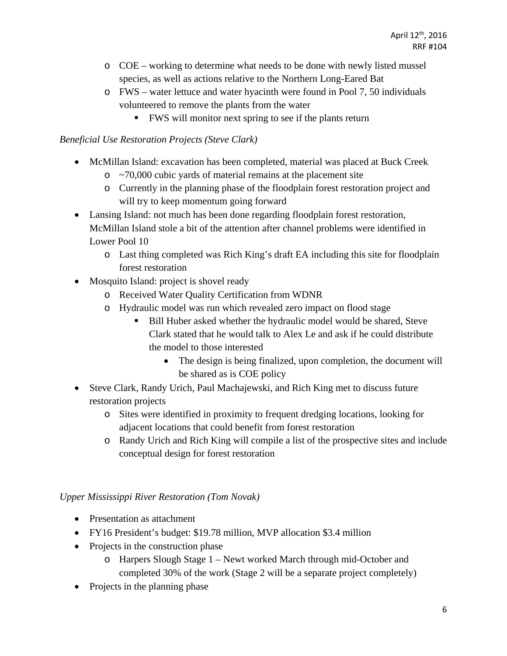- o COE working to determine what needs to be done with newly listed mussel species, as well as actions relative to the Northern Long-Eared Bat
- o FWS water lettuce and water hyacinth were found in Pool 7, 50 individuals volunteered to remove the plants from the water
	- FWS will monitor next spring to see if the plants return

## *Beneficial Use Restoration Projects (Steve Clark)*

- McMillan Island: excavation has been completed, material was placed at Buck Creek
	- $\circ$  ~70,000 cubic yards of material remains at the placement site
	- o Currently in the planning phase of the floodplain forest restoration project and will try to keep momentum going forward
- Lansing Island: not much has been done regarding floodplain forest restoration, McMillan Island stole a bit of the attention after channel problems were identified in Lower Pool 10
	- o Last thing completed was Rich King's draft EA including this site for floodplain forest restoration
- Mosquito Island: project is shovel ready
	- o Received Water Quality Certification from WDNR
	- o Hydraulic model was run which revealed zero impact on flood stage
		- Bill Huber asked whether the hydraulic model would be shared, Steve Clark stated that he would talk to Alex Le and ask if he could distribute the model to those interested
			- The design is being finalized, upon completion, the document will be shared as is COE policy
- Steve Clark, Randy Urich, Paul Machajewski, and Rich King met to discuss future restoration projects
	- o Sites were identified in proximity to frequent dredging locations, looking for adjacent locations that could benefit from forest restoration
	- o Randy Urich and Rich King will compile a list of the prospective sites and include conceptual design for forest restoration

# *Upper Mississippi River Restoration (Tom Novak)*

- Presentation as attachment
- FY16 President's budget: \$19.78 million, MVP allocation \$3.4 million
- Projects in the construction phase
	- o Harpers Slough Stage 1 Newt worked March through mid-October and completed 30% of the work (Stage 2 will be a separate project completely)
- Projects in the planning phase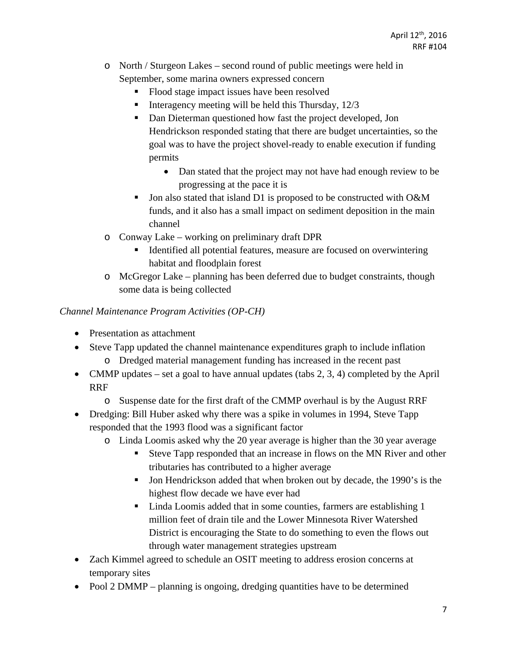- o North / Sturgeon Lakes second round of public meetings were held in September, some marina owners expressed concern
	- Flood stage impact issues have been resolved
	- Interagency meeting will be held this Thursday,  $12/3$
	- Dan Dieterman questioned how fast the project developed, Jon Hendrickson responded stating that there are budget uncertainties, so the goal was to have the project shovel-ready to enable execution if funding permits
		- Dan stated that the project may not have had enough review to be progressing at the pace it is
	- Jon also stated that island D1 is proposed to be constructed with O&M funds, and it also has a small impact on sediment deposition in the main channel
- o Conway Lake working on preliminary draft DPR
	- Identified all potential features, measure are focused on overwintering habitat and floodplain forest
- o McGregor Lake planning has been deferred due to budget constraints, though some data is being collected

### *Channel Maintenance Program Activities (OP-CH)*

- Presentation as attachment
- Steve Tapp updated the channel maintenance expenditures graph to include inflation
	- o Dredged material management funding has increased in the recent past
- CMMP updates set a goal to have annual updates (tabs  $2, 3, 4$ ) completed by the April RRF
	- o Suspense date for the first draft of the CMMP overhaul is by the August RRF
- Dredging: Bill Huber asked why there was a spike in volumes in 1994, Steve Tapp responded that the 1993 flood was a significant factor
	- o Linda Loomis asked why the 20 year average is higher than the 30 year average
		- Steve Tapp responded that an increase in flows on the MN River and other tributaries has contributed to a higher average
		- Jon Hendrickson added that when broken out by decade, the 1990's is the highest flow decade we have ever had
		- Linda Loomis added that in some counties, farmers are establishing 1 million feet of drain tile and the Lower Minnesota River Watershed District is encouraging the State to do something to even the flows out through water management strategies upstream
- Zach Kimmel agreed to schedule an OSIT meeting to address erosion concerns at temporary sites
- Pool 2 DMMP planning is ongoing, dredging quantities have to be determined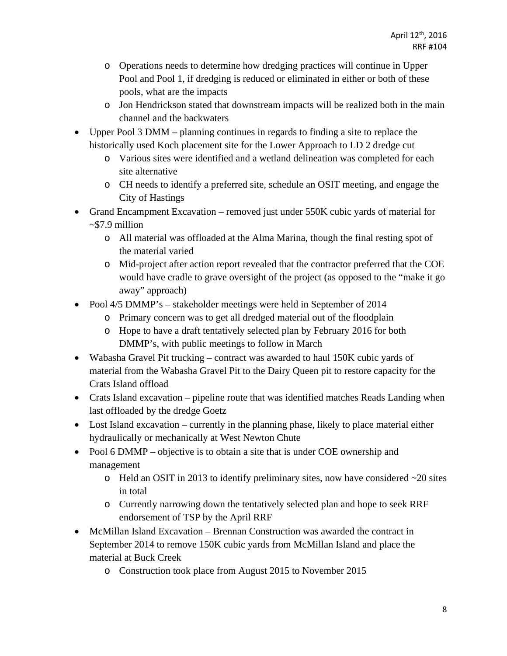- o Operations needs to determine how dredging practices will continue in Upper Pool and Pool 1, if dredging is reduced or eliminated in either or both of these pools, what are the impacts
- o Jon Hendrickson stated that downstream impacts will be realized both in the main channel and the backwaters
- Upper Pool 3 DMM planning continues in regards to finding a site to replace the historically used Koch placement site for the Lower Approach to LD 2 dredge cut
	- o Various sites were identified and a wetland delineation was completed for each site alternative
	- o CH needs to identify a preferred site, schedule an OSIT meeting, and engage the City of Hastings
- Grand Encampment Excavation removed just under 550K cubic yards of material for ~\$7.9 million
	- o All material was offloaded at the Alma Marina, though the final resting spot of the material varied
	- o Mid-project after action report revealed that the contractor preferred that the COE would have cradle to grave oversight of the project (as opposed to the "make it go away" approach)
- Pool 4/5 DMMP's stakeholder meetings were held in September of 2014
	- o Primary concern was to get all dredged material out of the floodplain
	- o Hope to have a draft tentatively selected plan by February 2016 for both DMMP's, with public meetings to follow in March
- Wabasha Gravel Pit trucking contract was awarded to haul 150K cubic yards of material from the Wabasha Gravel Pit to the Dairy Queen pit to restore capacity for the Crats Island offload
- Crats Island excavation pipeline route that was identified matches Reads Landing when last offloaded by the dredge Goetz
- Lost Island excavation currently in the planning phase, likely to place material either hydraulically or mechanically at West Newton Chute
- Pool 6 DMMP objective is to obtain a site that is under COE ownership and management
	- o Held an OSIT in 2013 to identify preliminary sites, now have considered ~20 sites in total
	- o Currently narrowing down the tentatively selected plan and hope to seek RRF endorsement of TSP by the April RRF
- McMillan Island Excavation Brennan Construction was awarded the contract in September 2014 to remove 150K cubic yards from McMillan Island and place the material at Buck Creek
	- o Construction took place from August 2015 to November 2015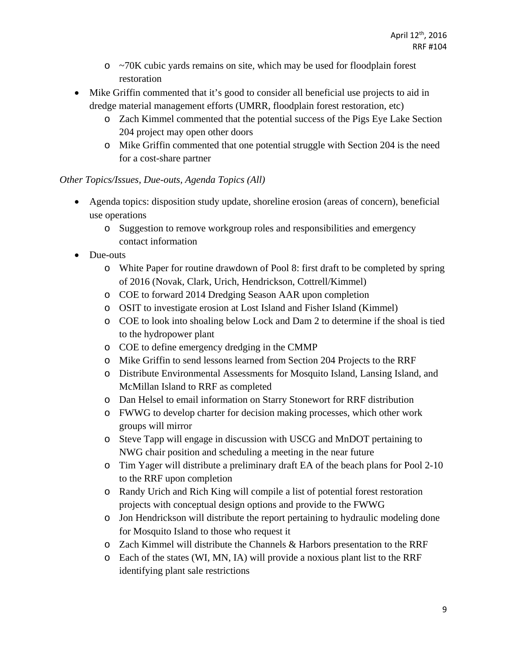- $\circ$  ~70K cubic yards remains on site, which may be used for floodplain forest restoration
- Mike Griffin commented that it's good to consider all beneficial use projects to aid in dredge material management efforts (UMRR, floodplain forest restoration, etc)
	- o Zach Kimmel commented that the potential success of the Pigs Eye Lake Section 204 project may open other doors
	- o Mike Griffin commented that one potential struggle with Section 204 is the need for a cost-share partner

### *Other Topics/Issues, Due-outs, Agenda Topics (All)*

- Agenda topics: disposition study update, shoreline erosion (areas of concern), beneficial use operations
	- o Suggestion to remove workgroup roles and responsibilities and emergency contact information
- Due-outs
	- o White Paper for routine drawdown of Pool 8: first draft to be completed by spring of 2016 (Novak, Clark, Urich, Hendrickson, Cottrell/Kimmel)
	- o COE to forward 2014 Dredging Season AAR upon completion
	- o OSIT to investigate erosion at Lost Island and Fisher Island (Kimmel)
	- o COE to look into shoaling below Lock and Dam 2 to determine if the shoal is tied to the hydropower plant
	- o COE to define emergency dredging in the CMMP
	- o Mike Griffin to send lessons learned from Section 204 Projects to the RRF
	- o Distribute Environmental Assessments for Mosquito Island, Lansing Island, and McMillan Island to RRF as completed
	- o Dan Helsel to email information on Starry Stonewort for RRF distribution
	- o FWWG to develop charter for decision making processes, which other work groups will mirror
	- o Steve Tapp will engage in discussion with USCG and MnDOT pertaining to NWG chair position and scheduling a meeting in the near future
	- o Tim Yager will distribute a preliminary draft EA of the beach plans for Pool 2-10 to the RRF upon completion
	- o Randy Urich and Rich King will compile a list of potential forest restoration projects with conceptual design options and provide to the FWWG
	- o Jon Hendrickson will distribute the report pertaining to hydraulic modeling done for Mosquito Island to those who request it
	- o Zach Kimmel will distribute the Channels & Harbors presentation to the RRF
	- o Each of the states (WI, MN, IA) will provide a noxious plant list to the RRF identifying plant sale restrictions